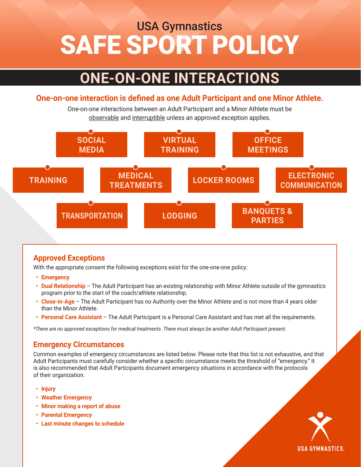# SAFE SPORT POLICY USA Gymnastics

## **ONE-ON-ONE INTERACTIONS**

#### **One-on-one interaction is defined as one Adult Participant and one Minor Athlete.**

One-on-one interactions between an Adult Participant and a Minor Athlete must be observable and interruptible unless an approved exception applies.



### **Approved Exceptions**

With the appropriate consent the following exceptions exist for the one-one-one policy:

- **• Emergency**
- **• Dual Relationship** The Adult Participant has an existing relationship with Minor Athlete outside of the gymnastics program prior to the start of the coach/athlete relationship.
- **• Close-in-Age** The Adult Participant has no Authority over the Minor Athlete and is not more than 4 years older than the Minor Athlete.
- **• Personal Care Assistant** The Adult Participant is a Personal Care Assistant and has met all the requirements.

*\*There are no approved exceptions for medical treatments. There must always be another Adult Participant present.* 

#### **Emergency Circumstances**

Common examples of emergency circumstances are listed below. Please note that this list is not exhaustive, and that Adult Participants must carefully consider whether a specific circumstance meets the threshold of "emergency." It is also recommended that Adult Participants document emergency situations in accordance with the protocols of their organization.

- **• Injury**
- **• Weather Emergency**
- **• Minor making a report of abuse**
- **• Parental Emergency**
- **• Last minute changes to schedule**